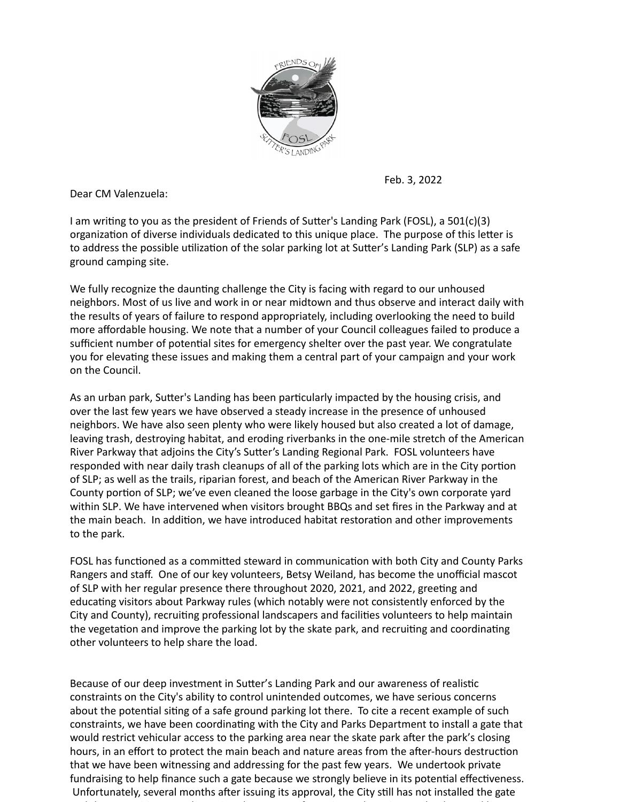

Feb. 3, 2022

Dear CM Valenzuela:

I am writing to you as the president of Friends of Sutter's Landing Park (FOSL), a 501(c)(3) organization of diverse individuals dedicated to this unique place. The purpose of this letter is to address the possible utilization of the solar parking lot at Sutter's Landing Park (SLP) as a safe ground camping site.

We fully recognize the daunting challenge the City is facing with regard to our unhoused neighbors. Most of us live and work in or near midtown and thus observe and interact daily with the results of years of failure to respond appropriately, including overlooking the need to build more affordable housing. We note that a number of your Council colleagues failed to produce a sufficient number of potential sites for emergency shelter over the past year. We congratulate you for elevating these issues and making them a central part of your campaign and your work on the Council.

As an urban park, Sutter's Landing has been particularly impacted by the housing crisis, and over the last few years we have observed a steady increase in the presence of unhoused neighbors. We have also seen plenty who were likely housed but also created a lot of damage, leaving trash, destroying habitat, and eroding riverbanks in the one-mile stretch of the American River Parkway that adjoins the City's Sutter's Landing Regional Park. FOSL volunteers have responded with near daily trash cleanups of all of the parking lots which are in the City portion of SLP; as well as the trails, riparian forest, and beach of the American River Parkway in the County portion of SLP; we've even cleaned the loose garbage in the City's own corporate yard within SLP. We have intervened when visitors brought BBQs and set fires in the Parkway and at the main beach. In addition, we have introduced habitat restoration and other improvements to the park.

FOSL has functioned as a committed steward in communication with both City and County Parks Rangers and staff. One of our key volunteers, Betsy Weiland, has become the unofficial mascot of SLP with her regular presence there throughout 2020, 2021, and 2022, greeting and educating visitors about Parkway rules (which notably were not consistently enforced by the City and County), recruiting professional landscapers and facilities volunteers to help maintain the vegetation and improve the parking lot by the skate park, and recruiting and coordinating other volunteers to help share the load.

Because of our deep investment in Sutter's Landing Park and our awareness of realistic constraints on the City's ability to control unintended outcomes, we have serious concerns about the potential siting of a safe ground parking lot there. To cite a recent example of such constraints, we have been coordinating with the City and Parks Department to install a gate that would restrict vehicular access to the parking area near the skate park after the park's closing hours, in an effort to protect the main beach and nature areas from the after-hours destruction that we have been witnessing and addressing for the past few years. We undertook private fundraising to help finance such a gate because we strongly believe in its potential effectiveness. Unfortunately, several months after issuing its approval, the City still has not installed the gate

and the sensing of the sensing of the sensing of the sensing of the sensing of the sensing of the sensing of th